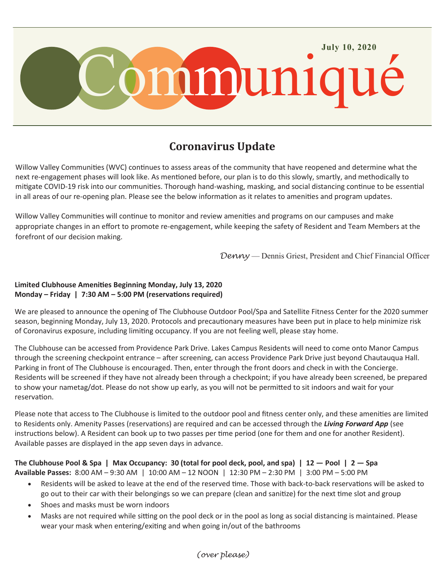

# **Coronavirus Update**

Willow Valley Communities (WVC) continues to assess areas of the community that have reopened and determine what the next re-engagement phases will look like. As mentioned before, our plan is to do this slowly, smartly, and methodically to mitigate COVID-19 risk into our communities. Thorough hand-washing, masking, and social distancing continue to be essential in all areas of our re-opening plan. Please see the below information as it relates to amenities and program updates.

Willow Valley Communities will continue to monitor and review amenities and programs on our campuses and make appropriate changes in an effort to promote re-engagement, while keeping the safety of Resident and Team Members at the forefront of our decision making.

*Denny* — Dennis Griest, President and Chief Financial Officer

### **Limited Clubhouse Amenities Beginning Monday, July 13, 2020 Monday – Friday | 7:30 AM – 5:00 PM (reservations required)**

We are pleased to announce the opening of The Clubhouse Outdoor Pool/Spa and Satellite Fitness Center for the 2020 summer season, beginning Monday, July 13, 2020. Protocols and precautionary measures have been put in place to help minimize risk of Coronavirus exposure, including limiting occupancy. If you are not feeling well, please stay home.

The Clubhouse can be accessed from Providence Park Drive. Lakes Campus Residents will need to come onto Manor Campus through the screening checkpoint entrance – after screening, can access Providence Park Drive just beyond Chautauqua Hall. Parking in front of The Clubhouse is encouraged. Then, enter through the front doors and check in with the Concierge. Residents will be screened if they have not already been through a checkpoint; if you have already been screened, be prepared to show your nametag/dot. Please do not show up early, as you will not be permitted to sit indoors and wait for your reservation.

Please note that access to The Clubhouse is limited to the outdoor pool and fitness center only, and these amenities are limited to Residents only. Amenity Passes (reservations) are required and can be accessed through the *Living Forward App* (see instructions below). A Resident can book up to two passes per time period (one for them and one for another Resident). Available passes are displayed in the app seven days in advance.

**The Clubhouse Pool & Spa | Max Occupancy: 30 (total for pool deck, pool, and spa) | 12 — Pool | 2 — Spa Available Passes:** 8:00 AM – 9:30 AM | 10:00 AM – 12 NOON | 12:30 PM – 2:30 PM | 3:00 PM – 5:00 PM

- Residents will be asked to leave at the end of the reserved time. Those with back-to-back reservations will be asked to go out to their car with their belongings so we can prepare (clean and sanitize) for the next time slot and group
- Shoes and masks must be worn indoors
- Masks are not required while sitting on the pool deck or in the pool as long as social distancing is maintained. Please wear your mask when entering/exiting and when going in/out of the bathrooms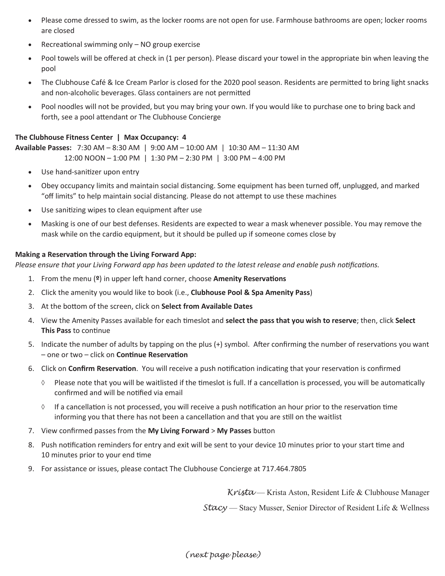- Please come dressed to swim, as the locker rooms are not open for use. Farmhouse bathrooms are open; locker rooms are closed
- Recreational swimming only NO group exercise
- Pool towels will be offered at check in (1 per person). Please discard your towel in the appropriate bin when leaving the pool
- The Clubhouse Café & Ice Cream Parlor is closed for the 2020 pool season. Residents are permitted to bring light snacks and non-alcoholic beverages. Glass containers are not permitted
- Pool noodles will not be provided, but you may bring your own. If you would like to purchase one to bring back and forth, see a pool attendant or The Clubhouse Concierge

### **The Clubhouse Fitness Center | Max Occupancy: 4**

**Available Passes:** 7:30 AM – 8:30 AM | 9:00 AM – 10:00 AM | 10:30 AM – 11:30 AM 12:00 NOON – 1:00 PM | 1:30 PM – 2:30 PM | 3:00 PM – 4:00 PM

- Use hand-sanitizer upon entry
- Obey occupancy limits and maintain social distancing. Some equipment has been turned off, unplugged, and marked "off limits" to help maintain social distancing. Please do not attempt to use these machines
- Use sanitizing wipes to clean equipment after use
- Masking is one of our best defenses. Residents are expected to wear a mask whenever possible. You may remove the mask while on the cardio equipment, but it should be pulled up if someone comes close by

#### **Making a Reservation through the Living Forward App:**

*Please ensure that your Living Forward app has been updated to the latest release and enable push notifications.*

- 1. From the menu (**º**) in upper left hand corner, choose **Amenity Reservations**
- 2. Click the amenity you would like to book (i.e., **Clubhouse Pool & Spa Amenity Pass**)
- 3. At the bottom of the screen, click on **Select from Available Dates**
- 4. View the Amenity Passes available for each timeslot and **select the pass that you wish to reserve**; then, click **Select This Pass** to continue
- 5. Indicate the number of adults by tapping on the plus (+) symbol. After confirming the number of reservations you want – one or two – click on **Continue Reservation**
- 6. Click on **Confirm Reservation**. You will receive a push notification indicating that your reservation is confirmed
	- $\Diamond$  Please note that you will be waitlisted if the timeslot is full. If a cancellation is processed, you will be automatically confirmed and will be notified via email
	- $\Diamond$  If a cancellation is not processed, you will receive a push notification an hour prior to the reservation time informing you that there has not been a cancellation and that you are still on the waitlist
- 7. View confirmed passes from the **My Living Forward** > **My Passes** button
- 8. Push notification reminders for entry and exit will be sent to your device 10 minutes prior to your start time and 10 minutes prior to your end time
- 9. For assistance or issues, please contact The Clubhouse Concierge at 717.464.7805

*Krista* — Krista Aston, Resident Life & Clubhouse Manager

*Stacy* — Stacy Musser, Senior Director of Resident Life & Wellness

*(next page please)*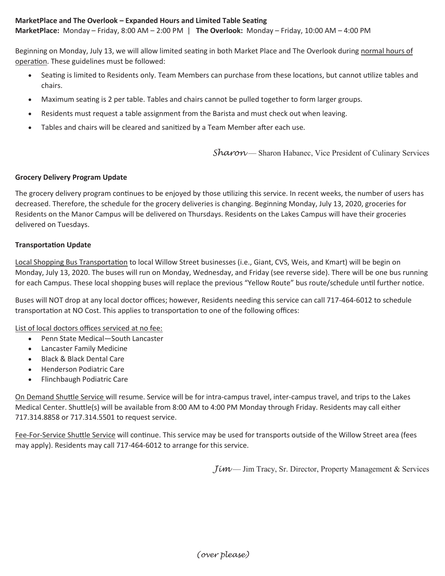### **MarketPlace and The Overlook – Expanded Hours and Limited Table Seating**

**MarketPlace:** Monday – Friday, 8:00 AM – 2:00 PM | **The Overlook:** Monday – Friday, 10:00 AM – 4:00 PM

Beginning on Monday, July 13, we will allow limited seating in both Market Place and The Overlook during normal hours of operation. These guidelines must be followed:

- Seating is limited to Residents only. Team Members can purchase from these locations, but cannot utilize tables and chairs.
- Maximum seating is 2 per table. Tables and chairs cannot be pulled together to form larger groups.
- Residents must request a table assignment from the Barista and must check out when leaving.
- Tables and chairs will be cleared and sanitized by a Team Member after each use.

*Sharon* — Sharon Habanec, Vice President of Culinary Services

#### **Grocery Delivery Program Update**

The grocery delivery program continues to be enjoyed by those utilizing this service. In recent weeks, the number of users has decreased. Therefore, the schedule for the grocery deliveries is changing. Beginning Monday, July 13, 2020, groceries for Residents on the Manor Campus will be delivered on Thursdays. Residents on the Lakes Campus will have their groceries delivered on Tuesdays.

#### **Transportation Update**

Local Shopping Bus Transportation to local Willow Street businesses (i.e., Giant, CVS, Weis, and Kmart) will be begin on Monday, July 13, 2020. The buses will run on Monday, Wednesday, and Friday (see reverse side). There will be one bus running for each Campus. These local shopping buses will replace the previous "Yellow Route" bus route/schedule until further notice.

Buses will NOT drop at any local doctor offices; however, Residents needing this service can call 717-464-6012 to schedule transportation at NO Cost. This applies to transportation to one of the following offices:

List of local doctors offices serviced at no fee:

- Penn State Medical-South Lancaster
- Lancaster Family Medicine
- Black & Black Dental Care
- **•** Henderson Podiatric Care
- Flinchbaugh Podiatric Care

On Demand Shuttle Service will resume. Service will be for intra-campus travel, inter-campus travel, and trips to the Lakes Medical Center. Shuttle(s) will be available from 8:00 AM to 4:00 PM Monday through Friday. Residents may call either 717.314.8858 or 717.314.5501 to request service.

Fee-For-Service Shuttle Service will continue. This service may be used for transports outside of the Willow Street area (fees may apply). Residents may call 717-464-6012 to arrange for this service.

*Jim — Jim Tracy, Sr. Director, Property Management & Services*